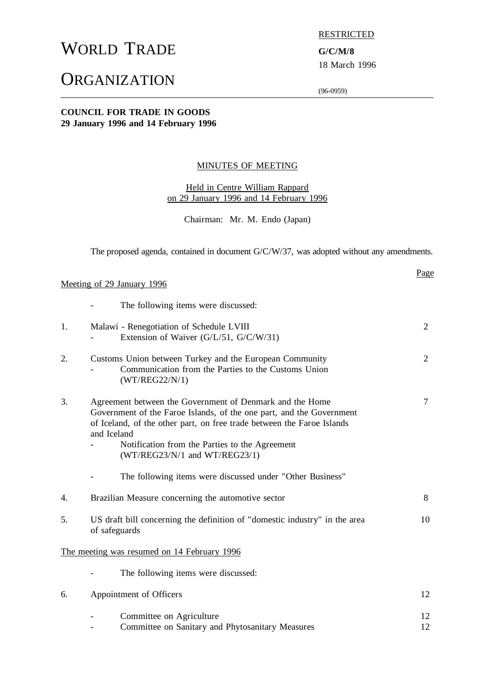# WORLD TRADE **G/C/M/8**

# **ORGANIZATION**

RESTRICTED

18 March 1996

Page

(96-0959)

#### **COUNCIL FOR TRADE IN GOODS 29 January 1996 and 14 February 1996**

#### MINUTES OF MEETING

#### Held in Centre William Rappard on 29 January 1996 and 14 February 1996

Chairman: Mr. M. Endo (Japan)

The proposed agenda, contained in document G/C/W/37, was adopted without any amendments.

#### Meeting of 29 January 1996

- The following items were discussed:

| 1. | Malawi - Renegotiation of Schedule LVIII<br>Extension of Waiver (G/L/51, G/C/W/31)                                                                                                                                                                                                                                                                                            | $\overline{2}$ |
|----|-------------------------------------------------------------------------------------------------------------------------------------------------------------------------------------------------------------------------------------------------------------------------------------------------------------------------------------------------------------------------------|----------------|
| 2. | Customs Union between Turkey and the European Community<br>Communication from the Parties to the Customs Union<br>(WT/REG22/N/1)                                                                                                                                                                                                                                              | 2              |
| 3. | Agreement between the Government of Denmark and the Home<br>Government of the Faroe Islands, of the one part, and the Government<br>of Iceland, of the other part, on free trade between the Faroe Islands<br>and Iceland<br>Notification from the Parties to the Agreement<br>$(WT/REG23/N/1$ and $WT/REG23/1)$<br>The following items were discussed under "Other Business" | $\overline{7}$ |
|    |                                                                                                                                                                                                                                                                                                                                                                               |                |
| 4. | Brazilian Measure concerning the automotive sector                                                                                                                                                                                                                                                                                                                            | 8              |
| 5. | US draft bill concerning the definition of "domestic industry" in the area<br>of safeguards                                                                                                                                                                                                                                                                                   | 10             |
|    | The meeting was resumed on 14 February 1996                                                                                                                                                                                                                                                                                                                                   |                |
|    | The following items were discussed:                                                                                                                                                                                                                                                                                                                                           |                |
| 6. | Appointment of Officers                                                                                                                                                                                                                                                                                                                                                       | 12             |
|    | Committee on Agriculture<br>Committee on Sanitary and Phytosanitary Measures                                                                                                                                                                                                                                                                                                  | 12<br>12       |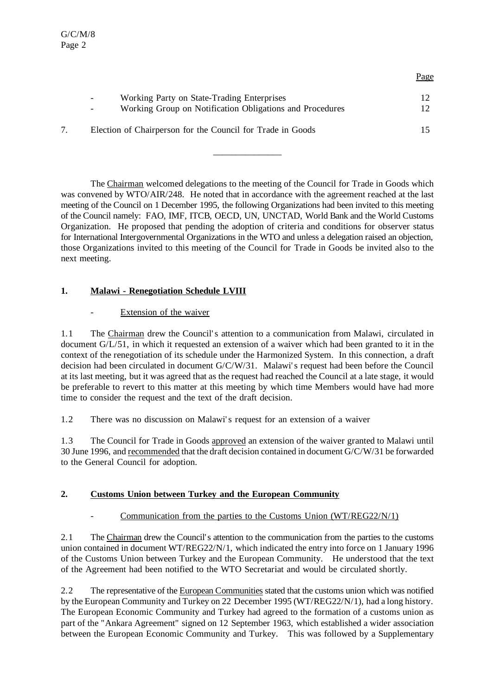| Working Party on State-Trading Enterprises<br>$\sim$          | 12 <sup>1</sup> |
|---------------------------------------------------------------|-----------------|
| Working Group on Notification Obligations and Procedures<br>- | 12 <sub>1</sub> |
| Election of Chairperson for the Council for Trade in Goods    | 15.             |

Page

The Chairman welcomed delegations to the meeting of the Council for Trade in Goods which was convened by WTO/AIR/248. He noted that in accordance with the agreement reached at the last meeting of the Council on 1 December 1995, the following Organizations had been invited to this meeting of the Council namely: FAO, IMF, ITCB, OECD, UN, UNCTAD, World Bank and the World Customs Organization. He proposed that pending the adoption of criteria and conditions for observer status for International Intergovernmental Organizations in the WTO and unless a delegation raised an objection, those Organizations invited to this meeting of the Council for Trade in Goods be invited also to the next meeting.

 $\overline{\phantom{a}}$  , where  $\overline{\phantom{a}}$ 

## **1. Malawi - Renegotiation Schedule LVIII**

## Extension of the waiver

1.1 The Chairman drew the Council's attention to a communication from Malawi, circulated in document G/L/51, in which it requested an extension of a waiver which had been granted to it in the context of the renegotiation of its schedule under the Harmonized System. In this connection, a draft decision had been circulated in document G/C/W/31. Malawi's request had been before the Council at its last meeting, but it was agreed that as the request had reached the Council at a late stage, it would be preferable to revert to this matter at this meeting by which time Members would have had more time to consider the request and the text of the draft decision.

1.2 There was no discussion on Malawi's request for an extension of a waiver

1.3 The Council for Trade in Goods approved an extension of the waiver granted to Malawi until 30 June 1996, and recommended that the draft decision contained in document G/C/W/31 be forwarded to the General Council for adoption.

## **2. Customs Union between Turkey and the European Community**

## Communication from the parties to the Customs Union (WT/REG22/N/1)

2.1 The Chairman drew the Council's attention to the communication from the parties to the customs union contained in document WT/REG22/N/1, which indicated the entry into force on 1 January 1996 of the Customs Union between Turkey and the European Community. He understood that the text of the Agreement had been notified to the WTO Secretariat and would be circulated shortly.

2.2 The representative of the European Communities stated that the customs union which was notified by the European Community and Turkey on 22 December 1995 (WT/REG22/N/1), had a long history. The European Economic Community and Turkey had agreed to the formation of a customs union as part of the "Ankara Agreement" signed on 12 September 1963, which established a wider association between the European Economic Community and Turkey. This was followed by a Supplementary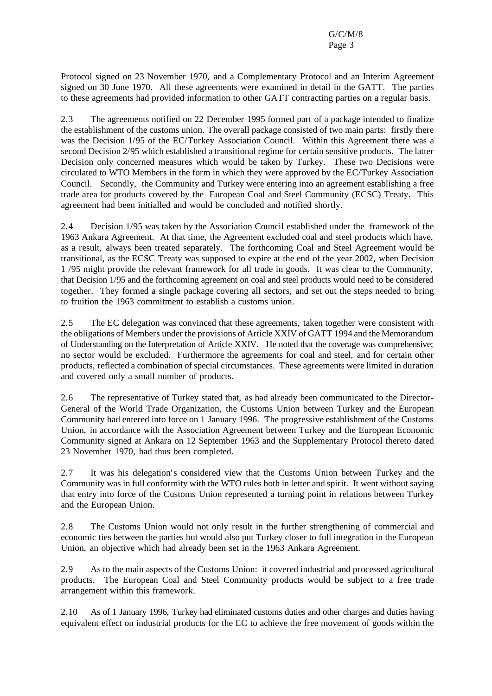Protocol signed on 23 November 1970, and a Complementary Protocol and an Interim Agreement signed on 30 June 1970. All these agreements were examined in detail in the GATT. The parties to these agreements had provided information to other GATT contracting parties on a regular basis.

2.3 The agreements notified on 22 December 1995 formed part of a package intended to finalize the establishment of the customs union. The overall package consisted of two main parts: firstly there was the Decision 1/95 of the EC/Turkey Association Council. Within this Agreement there was a second Decision 2/95 which established a transitional regime for certain sensitive products. The latter Decision only concerned measures which would be taken by Turkey. These two Decisions were circulated to WTO Members in the form in which they were approved by the EC/Turkey Association Council. Secondly, the Community and Turkey were entering into an agreement establishing a free trade area for products covered by the European Coal and Steel Community (ECSC) Treaty. This agreement had been initialled and would be concluded and notified shortly.

2.4 Decision 1/95 was taken by the Association Council established under the framework of the 1963 Ankara Agreement. At that time, the Agreement excluded coal and steel products which have, as a result, always been treated separately. The forthcoming Coal and Steel Agreement would be transitional, as the ECSC Treaty was supposed to expire at the end of the year 2002, when Decision 1 /95 might provide the relevant framework for all trade in goods. It was clear to the Community, that Decision 1/95 and the forthcoming agreement on coal and steel products would need to be considered together. They formed a single package covering all sectors, and set out the steps needed to bring to fruition the 1963 commitment to establish a customs union.

2.5 The EC delegation was convinced that these agreements, taken together were consistent with the obligations of Members under the provisions of Article XXIV of GATT 1994 and the Memorandum of Understanding on the Interpretation of Article XXIV. He noted that the coverage was comprehensive; no sector would be excluded. Furthermore the agreements for coal and steel, and for certain other products, reflected a combination of special circumstances. These agreements were limited in duration and covered only a small number of products.

2.6 The representative of Turkey stated that, as had already been communicated to the Director-General of the World Trade Organization, the Customs Union between Turkey and the European Community had entered into force on 1 January 1996. The progressive establishment of the Customs Union, in accordance with the Association Agreement between Turkey and the European Economic Community signed at Ankara on 12 September 1963 and the Supplementary Protocol thereto dated 23 November 1970, had thus been completed.

2.7 It was his delegation's considered view that the Customs Union between Turkey and the Community was in full conformity with the WTO rules both in letter and spirit. It went without saying that entry into force of the Customs Union represented a turning point in relations between Turkey and the European Union.

2.8 The Customs Union would not only result in the further strengthening of commercial and economic ties between the parties but would also put Turkey closer to full integration in the European Union, an objective which had already been set in the 1963 Ankara Agreement.

2.9 As to the main aspects of the Customs Union: it covered industrial and processed agricultural products. The European Coal and Steel Community products would be subject to a free trade arrangement within this framework.

2.10 As of 1 January 1996, Turkey had eliminated customs duties and other charges and duties having equivalent effect on industrial products for the EC to achieve the free movement of goods within the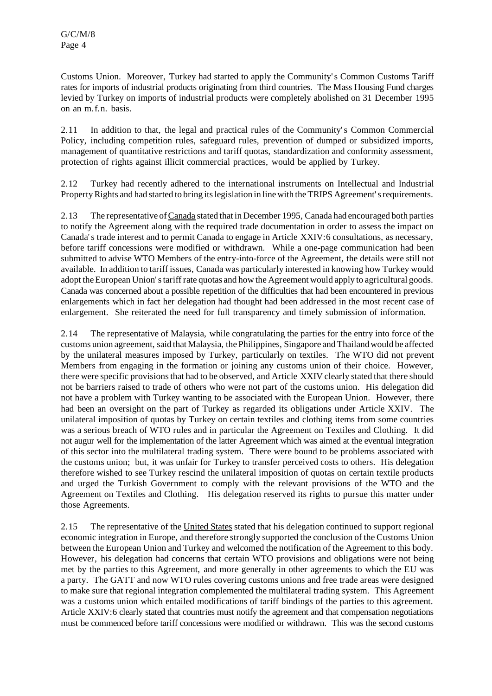Customs Union. Moreover, Turkey had started to apply the Community's Common Customs Tariff rates for imports of industrial products originating from third countries. The Mass Housing Fund charges levied by Turkey on imports of industrial products were completely abolished on 31 December 1995 on an m.f.n. basis.

2.11 In addition to that, the legal and practical rules of the Community's Common Commercial Policy, including competition rules, safeguard rules, prevention of dumped or subsidized imports, management of quantitative restrictions and tariff quotas, standardization and conformity assessment, protection of rights against illicit commercial practices, would be applied by Turkey.

2.12 Turkey had recently adhered to the international instruments on Intellectual and Industrial Property Rights and had started to bring its legislation in line with the TRIPS Agreement's requirements.

2.13 The representative ofCanada stated that in December 1995,Canada had encouraged both parties to notify the Agreement along with the required trade documentation in order to assess the impact on Canada's trade interest and to permit Canada to engage in Article XXIV:6 consultations, as necessary, before tariff concessions were modified or withdrawn. While a one-page communication had been submitted to advise WTO Members of the entry-into-force of the Agreement, the details were still not available. In addition to tariff issues, Canada was particularly interested in knowing how Turkey would adopt the European Union's tariff rate quotas and how the Agreement would apply to agricultural goods. Canada was concerned about a possible repetition of the difficulties that had been encountered in previous enlargements which in fact her delegation had thought had been addressed in the most recent case of enlargement. She reiterated the need for full transparency and timely submission of information.

2.14 The representative of Malaysia, while congratulating the parties for the entry into force of the customs union agreement, said that Malaysia, the Philippines, Singapore and Thailand would be affected by the unilateral measures imposed by Turkey, particularly on textiles. The WTO did not prevent Members from engaging in the formation or joining any customs union of their choice. However, there were specific provisionsthat had to be observed, and Article XXIV clearly stated that there should not be barriers raised to trade of others who were not part of the customs union. His delegation did not have a problem with Turkey wanting to be associated with the European Union. However, there had been an oversight on the part of Turkey as regarded its obligations under Article XXIV. The unilateral imposition of quotas by Turkey on certain textiles and clothing items from some countries was a serious breach of WTO rules and in particular the Agreement on Textiles and Clothing. It did not augur well for the implementation of the latter Agreement which was aimed at the eventual integration of this sector into the multilateral trading system. There were bound to be problems associated with the customs union; but, it was unfair for Turkey to transfer perceived costs to others. His delegation therefore wished to see Turkey rescind the unilateral imposition of quotas on certain textile products and urged the Turkish Government to comply with the relevant provisions of the WTO and the Agreement on Textiles and Clothing. His delegation reserved its rights to pursue this matter under those Agreements.

2.15 The representative of the United States stated that his delegation continued to support regional economic integration in Europe, and therefore strongly supported the conclusion of the Customs Union between the European Union and Turkey and welcomed the notification of the Agreement to this body. However, his delegation had concerns that certain WTO provisions and obligations were not being met by the parties to this Agreement, and more generally in other agreements to which the EU was a party. The GATT and now WTO rules covering customs unions and free trade areas were designed to make sure that regional integration complemented the multilateral trading system. This Agreement was a customs union which entailed modifications of tariff bindings of the parties to this agreement. Article XXIV:6 clearly stated that countries must notify the agreement and that compensation negotiations must be commenced before tariff concessions were modified or withdrawn. This was the second customs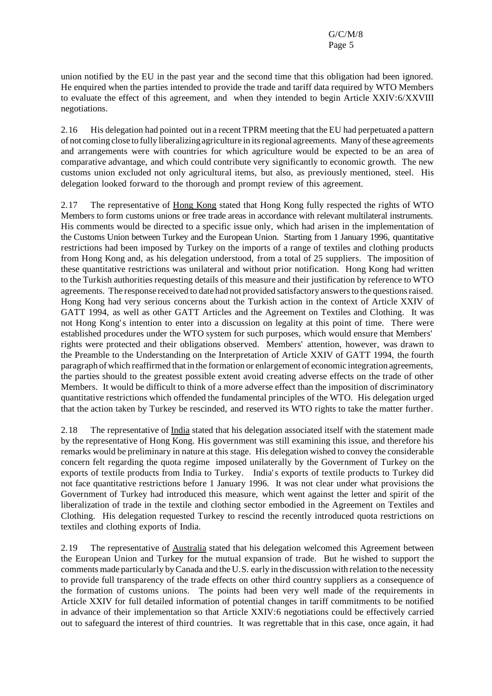union notified by the EU in the past year and the second time that this obligation had been ignored. He enquired when the parties intended to provide the trade and tariff data required by WTO Members to evaluate the effect of this agreement, and when they intended to begin Article XXIV:6/XXVIII negotiations.

2.16 His delegation had pointed out in a recent TPRM meeting that the EU had perpetuated a pattern of not coming close to fully liberalizing agriculture in itsregional agreements. Many ofthese agreements and arrangements were with countries for which agriculture would be expected to be an area of comparative advantage, and which could contribute very significantly to economic growth. The new customs union excluded not only agricultural items, but also, as previously mentioned, steel. His delegation looked forward to the thorough and prompt review of this agreement.

2.17 The representative of Hong Kong stated that Hong Kong fully respected the rights of WTO Members to form customs unions or free trade areas in accordance with relevant multilateral instruments. His comments would be directed to a specific issue only, which had arisen in the implementation of the Customs Union between Turkey and the European Union. Starting from 1 January 1996, quantitative restrictions had been imposed by Turkey on the imports of a range of textiles and clothing products from Hong Kong and, as his delegation understood, from a total of 25 suppliers. The imposition of these quantitative restrictions was unilateral and without prior notification. Hong Kong had written to the Turkish authorities requesting details of this measure and their justification by reference to WTO agreements. The response received to date had not provided satisfactory answersto the questionsraised. Hong Kong had very serious concerns about the Turkish action in the context of Article XXIV of GATT 1994, as well as other GATT Articles and the Agreement on Textiles and Clothing. It was not Hong Kong's intention to enter into a discussion on legality at this point of time. There were established procedures under the WTO system for such purposes, which would ensure that Members' rights were protected and their obligations observed. Members' attention, however, was drawn to the Preamble to the Understanding on the Interpretation of Article XXIV of GATT 1994, the fourth paragraph of which reaffirmed that in the formation or enlargement of economic integration agreements, the parties should to the greatest possible extent avoid creating adverse effects on the trade of other Members. It would be difficult to think of a more adverse effect than the imposition of discriminatory quantitative restrictions which offended the fundamental principles of the WTO. His delegation urged that the action taken by Turkey be rescinded, and reserved its WTO rights to take the matter further.

2.18 The representative of India stated that his delegation associated itself with the statement made by the representative of Hong Kong. His government was still examining this issue, and therefore his remarks would be preliminary in nature at this stage. His delegation wished to convey the considerable concern felt regarding the quota regime imposed unilaterally by the Government of Turkey on the exports of textile products from India to Turkey. India's exports of textile products to Turkey did not face quantitative restrictions before 1 January 1996. It was not clear under what provisions the Government of Turkey had introduced this measure, which went against the letter and spirit of the liberalization of trade in the textile and clothing sector embodied in the Agreement on Textiles and Clothing. His delegation requested Turkey to rescind the recently introduced quota restrictions on textiles and clothing exports of India.

2.19 The representative of Australia stated that his delegation welcomed this Agreement between the European Union and Turkey for the mutual expansion of trade. But he wished to support the comments made particularly byCanada and the U.S. early in the discussion with relation to the necessity to provide full transparency of the trade effects on other third country suppliers as a consequence of the formation of customs unions. The points had been very well made of the requirements in Article XXIV for full detailed information of potential changes in tariff commitments to be notified in advance of their implementation so that Article XXIV:6 negotiations could be effectively carried out to safeguard the interest of third countries. It was regrettable that in this case, once again, it had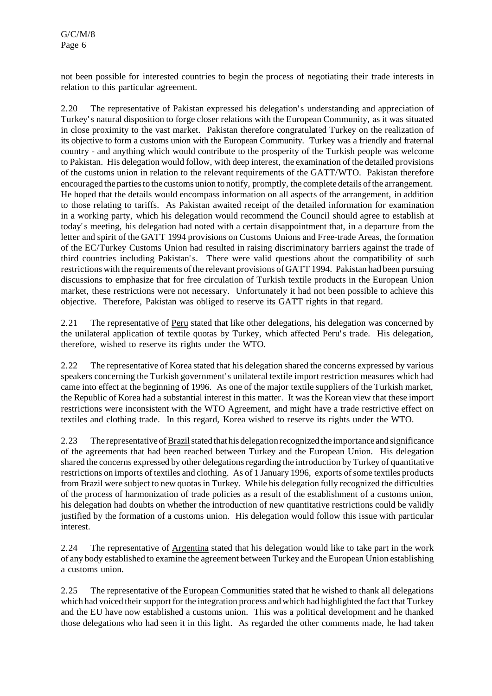not been possible for interested countries to begin the process of negotiating their trade interests in relation to this particular agreement.

2.20 The representative of Pakistan expressed his delegation's understanding and appreciation of Turkey's natural disposition to forge closer relations with the European Community, as it was situated in close proximity to the vast market. Pakistan therefore congratulated Turkey on the realization of its objective to form a customs union with the European Community. Turkey was a friendly and fraternal country - and anything which would contribute to the prosperity of the Turkish people was welcome to Pakistan. His delegation would follow, with deep interest, the examination of the detailed provisions of the customs union in relation to the relevant requirements of the GATT/WTO. Pakistan therefore encouraged the parties to the customs union to notify, promptly, the complete details of the arrangement. He hoped that the details would encompass information on all aspects of the arrangement, in addition to those relating to tariffs. As Pakistan awaited receipt of the detailed information for examination in a working party, which his delegation would recommend the Council should agree to establish at today's meeting, his delegation had noted with a certain disappointment that, in a departure from the letter and spirit of the GATT 1994 provisions on Customs Unions and Free-trade Areas, the formation of the EC/Turkey Customs Union had resulted in raising discriminatory barriers against the trade of third countries including Pakistan's. There were valid questions about the compatibility of such restrictions with the requirements of the relevant provisions of GATT 1994. Pakistan had been pursuing discussions to emphasize that for free circulation of Turkish textile products in the European Union market, these restrictions were not necessary. Unfortunately it had not been possible to achieve this objective. Therefore, Pakistan was obliged to reserve its GATT rights in that regard.

2.21 The representative of Peru stated that like other delegations, his delegation was concerned by the unilateral application of textile quotas by Turkey, which affected Peru's trade. His delegation, therefore, wished to reserve its rights under the WTO.

2.22 The representative of Korea stated that his delegation shared the concerns expressed by various speakers concerning the Turkish government's unilateral textile import restriction measures which had came into effect at the beginning of 1996. As one of the major textile suppliers of the Turkish market, the Republic of Korea had a substantial interest in this matter. It was the Korean view that these import restrictions were inconsistent with the WTO Agreement, and might have a trade restrictive effect on textiles and clothing trade. In this regard, Korea wished to reserve its rights under the WTO.

2.23 The representative ofBrazilstated that his delegation recognized the importance and significance of the agreements that had been reached between Turkey and the European Union. His delegation shared the concerns expressed by other delegations regarding the introduction by Turkey of quantitative restrictions on imports of textiles and clothing. As of 1 January 1996, exports of some textiles products from Brazil were subject to new quotas in Turkey. While his delegation fully recognized the difficulties of the process of harmonization of trade policies as a result of the establishment of a customs union, his delegation had doubts on whether the introduction of new quantitative restrictions could be validly justified by the formation of a customs union. His delegation would follow this issue with particular interest.

2.24 The representative of Argentina stated that his delegation would like to take part in the work of any body established to examine the agreement between Turkey and the European Union establishing a customs union.

2.25 The representative of the European Communities stated that he wished to thank all delegations which had voiced their support for the integration process and which had highlighted the fact that Turkey and the EU have now established a customs union. This was a political development and he thanked those delegations who had seen it in this light. As regarded the other comments made, he had taken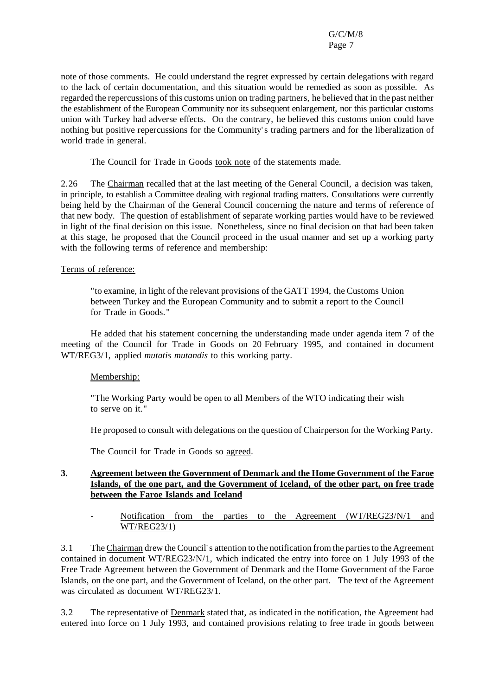note of those comments. He could understand the regret expressed by certain delegations with regard to the lack of certain documentation, and this situation would be remedied as soon as possible. As regarded the repercussions of this customs union on trading partners, he believed that in the past neither the establishment of the European Community nor its subsequent enlargement, nor this particular customs union with Turkey had adverse effects. On the contrary, he believed this customs union could have nothing but positive repercussions for the Community's trading partners and for the liberalization of world trade in general.

The Council for Trade in Goods took note of the statements made.

2.26 The Chairman recalled that at the last meeting of the General Council, a decision was taken, in principle, to establish a Committee dealing with regional trading matters. Consultations were currently being held by the Chairman of the General Council concerning the nature and terms of reference of that new body. The question of establishment of separate working parties would have to be reviewed in light of the final decision on this issue. Nonetheless, since no final decision on that had been taken at this stage, he proposed that the Council proceed in the usual manner and set up a working party with the following terms of reference and membership:

#### Terms of reference:

"to examine, in light of the relevant provisions of the GATT 1994, the Customs Union between Turkey and the European Community and to submit a report to the Council for Trade in Goods."

He added that his statement concerning the understanding made under agenda item 7 of the meeting of the Council for Trade in Goods on 20 February 1995, and contained in document WT/REG3/1, applied *mutatis mutandis* to this working party.

## Membership:

"The Working Party would be open to all Members of the WTO indicating their wish to serve on it."

He proposed to consult with delegations on the question of Chairperson for the Working Party.

The Council for Trade in Goods so agreed.

#### **3. Agreement between the Government of Denmark and the Home Government of the Faroe Islands, of the one part, and the Government of Iceland, of the other part, on free trade between the Faroe Islands and Iceland**

#### Notification from the parties to the Agreement (WT/REG23/N/1 and WT/REG23/1)

3.1 The Chairman drew the Council's attention to the notification from the partiesto the Agreement contained in document WT/REG23/N/1, which indicated the entry into force on 1 July 1993 of the Free Trade Agreement between the Government of Denmark and the Home Government of the Faroe Islands, on the one part, and the Government of Iceland, on the other part. The text of the Agreement was circulated as document WT/REG23/1.

3.2 The representative of Denmark stated that, as indicated in the notification, the Agreement had entered into force on 1 July 1993, and contained provisions relating to free trade in goods between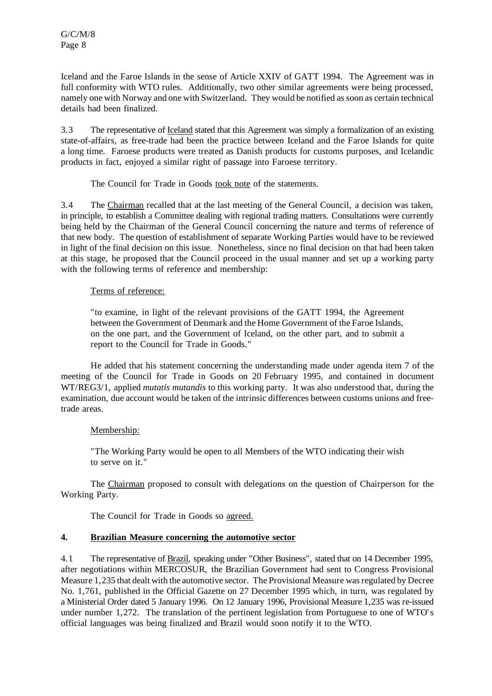Iceland and the Faroe Islands in the sense of Article XXIV of GATT 1994. The Agreement was in full conformity with WTO rules. Additionally, two other similar agreements were being processed, namely one with Norway and one with Switzerland. They would be notified assoon as certain technical details had been finalized.

3.3 The representative of Iceland stated that this Agreement was simply a formalization of an existing state-of-affairs, as free-trade had been the practice between Iceland and the Faroe Islands for quite a long time. Faroese products were treated as Danish products for customs purposes, and Icelandic products in fact, enjoyed a similar right of passage into Faroese territory.

The Council for Trade in Goods took note of the statements.

3.4 The Chairman recalled that at the last meeting of the General Council, a decision was taken, in principle, to establish a Committee dealing with regional trading matters. Consultations were currently being held by the Chairman of the General Council concerning the nature and terms of reference of that new body. The question of establishment of separate Working Parties would have to be reviewed in light of the final decision on this issue. Nonetheless, since no final decision on that had been taken at this stage, he proposed that the Council proceed in the usual manner and set up a working party with the following terms of reference and membership:

#### Terms of reference:

"to examine, in light of the relevant provisions of the GATT 1994, the Agreement between the Government of Denmark and the Home Government of the Faroe Islands, on the one part, and the Government of Iceland, on the other part, and to submit a report to the Council for Trade in Goods."

He added that his statement concerning the understanding made under agenda item 7 of the meeting of the Council for Trade in Goods on 20 February 1995, and contained in document WT/REG3/1, applied *mutatis mutandis* to this working party. It was also understood that, during the examination, due account would be taken of the intrinsic differences between customs unions and freetrade areas.

## Membership:

"The Working Party would be open to all Members of the WTO indicating their wish to serve on it."

The Chairman proposed to consult with delegations on the question of Chairperson for the Working Party.

The Council for Trade in Goods so agreed.

## **4. Brazilian Measure concerning the automotive sector**

4.1 The representative of Brazil, speaking under "Other Business", stated that on 14 December 1995, after negotiations within MERCOSUR, the Brazilian Government had sent to Congress Provisional Measure 1,235 that dealt with the automotive sector. The Provisional Measure was regulated by Decree No. 1,761, published in the Official Gazette on 27 December 1995 which, in turn, was regulated by a Ministerial Order dated 5 January 1996. On 12 January 1996, Provisional Measure 1,235 was re-issued under number 1,272. The translation of the pertinent legislation from Portuguese to one of WTO's official languages was being finalized and Brazil would soon notify it to the WTO.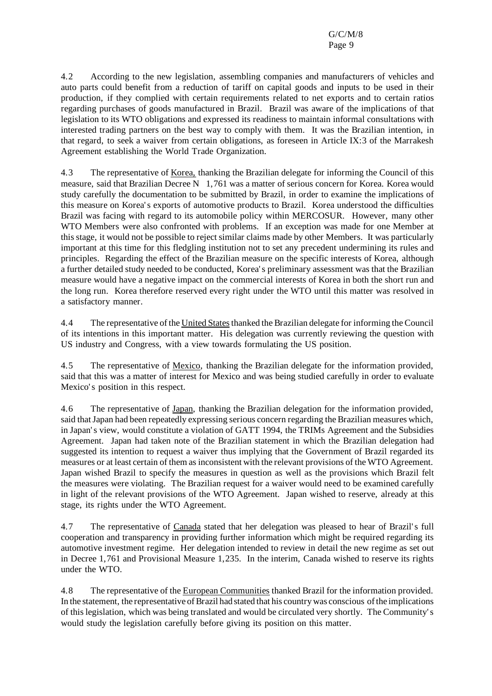4.2 According to the new legislation, assembling companies and manufacturers of vehicles and auto parts could benefit from a reduction of tariff on capital goods and inputs to be used in their production, if they complied with certain requirements related to net exports and to certain ratios regarding purchases of goods manufactured in Brazil. Brazil was aware of the implications of that legislation to its WTO obligations and expressed its readiness to maintain informal consultations with interested trading partners on the best way to comply with them. It was the Brazilian intention, in that regard, to seek a waiver from certain obligations, as foreseen in Article IX:3 of the Marrakesh Agreement establishing the World Trade Organization.

4.3 The representative of <u>Korea</u>, thanking the Brazilian delegate for informing the Council of this measure, said that Brazilian Decree N 1,761 was a matter of serious concern for Korea. Korea would study carefully the documentation to be submitted by Brazil, in order to examine the implications of this measure on Korea's exports of automotive products to Brazil. Korea understood the difficulties Brazil was facing with regard to its automobile policy within MERCOSUR. However, many other WTO Members were also confronted with problems. If an exception was made for one Member at thisstage, it would not be possible to reject similar claims made by other Members. It was particularly important at this time for this fledgling institution not to set any precedent undermining its rules and principles. Regarding the effect of the Brazilian measure on the specific interests of Korea, although a further detailed study needed to be conducted, Korea's preliminary assessment was that the Brazilian measure would have a negative impact on the commercial interests of Korea in both the short run and the long run. Korea therefore reserved every right under the WTO until this matter was resolved in a satisfactory manner.

4.4 The representative of the United Statesthanked the Brazilian delegate forinforming the Council of its intentions in this important matter. His delegation was currently reviewing the question with US industry and Congress, with a view towards formulating the US position.

4.5 The representative of Mexico, thanking the Brazilian delegate for the information provided, said that this was a matter of interest for Mexico and was being studied carefully in order to evaluate Mexico's position in this respect.

4.6 The representative of Japan, thanking the Brazilian delegation for the information provided, said thatJapan had been repeatedly expressing serious concern regarding the Brazilian measures which, in Japan's view, would constitute a violation of GATT 1994, the TRIMs Agreement and the Subsidies Agreement. Japan had taken note of the Brazilian statement in which the Brazilian delegation had suggested its intention to request a waiver thus implying that the Government of Brazil regarded its measures or at least certain of them asinconsistent with the relevant provisions of the WTO Agreement. Japan wished Brazil to specify the measures in question as well as the provisions which Brazil felt the measures were violating. The Brazilian request for a waiver would need to be examined carefully in light of the relevant provisions of the WTO Agreement. Japan wished to reserve, already at this stage, its rights under the WTO Agreement.

4.7 The representative of Canada stated that her delegation was pleased to hear of Brazil's full cooperation and transparency in providing further information which might be required regarding its automotive investment regime. Her delegation intended to review in detail the new regime as set out in Decree 1,761 and Provisional Measure 1,235. In the interim, Canada wished to reserve its rights under the WTO.

4.8 The representative of the European Communities thanked Brazil for the information provided. In the statement, the representative of Brazil had stated that his country was conscious of the implications of thislegislation, which was being translated and would be circulated very shortly. The Community's would study the legislation carefully before giving its position on this matter.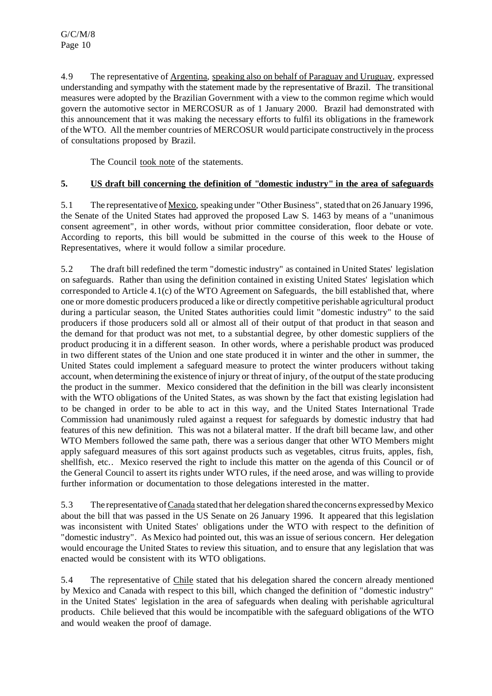4.9 The representative of Argentina, speaking also on behalf of Paraguay and Uruguay, expressed understanding and sympathy with the statement made by the representative of Brazil. The transitional measures were adopted by the Brazilian Government with a view to the common regime which would govern the automotive sector in MERCOSUR as of 1 January 2000. Brazil had demonstrated with this announcement that it was making the necessary efforts to fulfil its obligations in the framework of the WTO. All the member countries of MERCOSUR would participate constructively in the process of consultations proposed by Brazil.

The Council took note of the statements.

## **5. US draft bill concerning the definition of "domestic industry" in the area of safeguards**

5.1 The representative of Mexico, speaking under "Other Business", stated that on 26 January 1996, the Senate of the United States had approved the proposed Law S. 1463 by means of a "unanimous consent agreement", in other words, without prior committee consideration, floor debate or vote. According to reports, this bill would be submitted in the course of this week to the House of Representatives, where it would follow a similar procedure.

5.2 The draft bill redefined the term "domestic industry" as contained in United States' legislation on safeguards. Rather than using the definition contained in existing United States' legislation which corresponded to Article 4.1(c) of the WTO Agreement on Safeguards, the bill established that, where one or more domestic producers produced a like or directly competitive perishable agricultural product during a particular season, the United States authorities could limit "domestic industry" to the said producers if those producers sold all or almost all of their output of that product in that season and the demand for that product was not met, to a substantial degree, by other domestic suppliers of the product producing it in a different season. In other words, where a perishable product was produced in two different states of the Union and one state produced it in winter and the other in summer, the United States could implement a safeguard measure to protect the winter producers without taking account, when determining the existence of injury or threat of injury, of the output of the state producing the product in the summer. Mexico considered that the definition in the bill was clearly inconsistent with the WTO obligations of the United States, as was shown by the fact that existing legislation had to be changed in order to be able to act in this way, and the United States International Trade Commission had unanimously ruled against a request for safeguards by domestic industry that had features of this new definition. This was not a bilateral matter. If the draft bill became law, and other WTO Members followed the same path, there was a serious danger that other WTO Members might apply safeguard measures of this sort against products such as vegetables, citrus fruits, apples, fish, shellfish, etc.. Mexico reserved the right to include this matter on the agenda of this Council or of the General Council to assert its rights under WTO rules, if the need arose, and was willing to provide further information or documentation to those delegations interested in the matter.

5.3 The representative ofCanada stated that her delegation shared the concerns expressed by Mexico about the bill that was passed in the US Senate on 26 January 1996. It appeared that this legislation was inconsistent with United States' obligations under the WTO with respect to the definition of "domestic industry". As Mexico had pointed out, this was an issue of serious concern. Her delegation would encourage the United States to review this situation, and to ensure that any legislation that was enacted would be consistent with its WTO obligations.

5.4 The representative of Chile stated that his delegation shared the concern already mentioned by Mexico and Canada with respect to this bill, which changed the definition of "domestic industry" in the United States' legislation in the area of safeguards when dealing with perishable agricultural products. Chile believed that this would be incompatible with the safeguard obligations of the WTO and would weaken the proof of damage.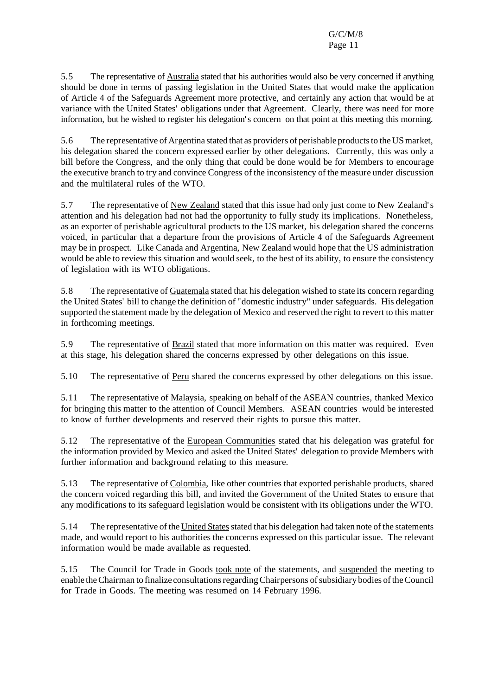5.5 The representative of Australia stated that his authorities would also be very concerned if anything should be done in terms of passing legislation in the United States that would make the application of Article 4 of the Safeguards Agreement more protective, and certainly any action that would be at variance with the United States' obligations under that Agreement. Clearly, there was need for more information, but he wished to register his delegation's concern on that point at this meeting this morning.

5.6 The representative of Argentina stated that as providers of perishable products to the US market, his delegation shared the concern expressed earlier by other delegations. Currently, this was only a bill before the Congress, and the only thing that could be done would be for Members to encourage the executive branch to try and convince Congress of the inconsistency of the measure under discussion and the multilateral rules of the WTO.

5.7 The representative of New Zealand stated that this issue had only just come to New Zealand's attention and his delegation had not had the opportunity to fully study its implications. Nonetheless, as an exporter of perishable agricultural products to the US market, his delegation shared the concerns voiced, in particular that a departure from the provisions of Article 4 of the Safeguards Agreement may be in prospect. Like Canada and Argentina, New Zealand would hope that the US administration would be able to review this situation and would seek, to the best of its ability, to ensure the consistency of legislation with its WTO obligations.

5.8 The representative of Guatemala stated that his delegation wished to state its concern regarding the United States' bill to change the definition of "domestic industry" under safeguards. His delegation supported the statement made by the delegation of Mexico and reserved the right to revert to this matter in forthcoming meetings.

5.9 The representative of Brazil stated that more information on this matter was required. Even at this stage, his delegation shared the concerns expressed by other delegations on this issue.

5.10 The representative of Peru shared the concerns expressed by other delegations on this issue.

5.11 The representative of Malaysia, speaking on behalf of the ASEAN countries, thanked Mexico for bringing this matter to the attention of Council Members. ASEAN countries would be interested to know of further developments and reserved their rights to pursue this matter.

5.12 The representative of the European Communities stated that his delegation was grateful for the information provided by Mexico and asked the United States' delegation to provide Members with further information and background relating to this measure.

5.13 The representative of Colombia, like other countries that exported perishable products, shared the concern voiced regarding this bill, and invited the Government of the United States to ensure that any modifications to its safeguard legislation would be consistent with its obligations under the WTO.

5.14 The representative of the United States stated that his delegation had taken note of the statements made, and would report to his authorities the concerns expressed on this particular issue. The relevant information would be made available as requested.

5.15 The Council for Trade in Goods took note of the statements, and suspended the meeting to enable the Chairman to finalize consultations regarding Chairpersons of subsidiary bodies of the Council for Trade in Goods. The meeting was resumed on 14 February 1996.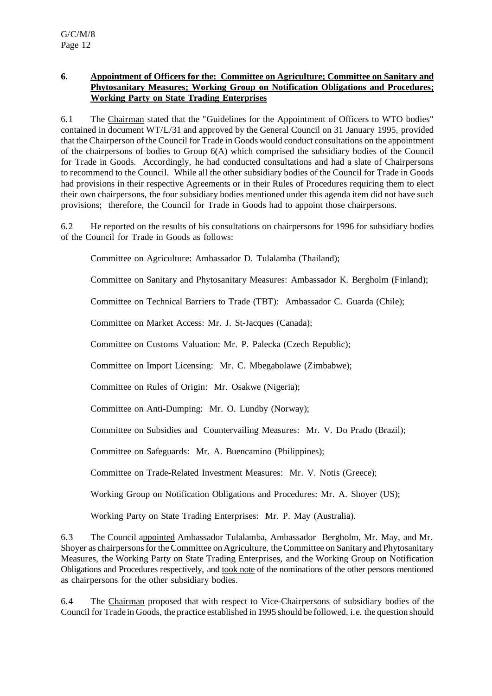## **6. Appointment of Officers for the: Committee on Agriculture; Committee on Sanitary and Phytosanitary Measures; Working Group on Notification Obligations and Procedures; Working Party on State Trading Enterprises**

6.1 The Chairman stated that the "Guidelines for the Appointment of Officers to WTO bodies" contained in document WT/L/31 and approved by the General Council on 31 January 1995, provided that the Chairperson of the Council for Trade in Goods would conduct consultations on the appointment of the chairpersons of bodies to Group  $6(A)$  which comprised the subsidiary bodies of the Council for Trade in Goods. Accordingly, he had conducted consultations and had a slate of Chairpersons to recommend to the Council. While all the other subsidiary bodies of the Council for Trade in Goods had provisions in their respective Agreements or in their Rules of Procedures requiring them to elect their own chairpersons, the four subsidiary bodies mentioned under this agenda item did not have such provisions; therefore, the Council for Trade in Goods had to appoint those chairpersons.

6.2 He reported on the results of his consultations on chairpersons for 1996 for subsidiary bodies of the Council for Trade in Goods as follows:

Committee on Agriculture: Ambassador D. Tulalamba (Thailand);

Committee on Sanitary and Phytosanitary Measures: Ambassador K. Bergholm (Finland);

Committee on Technical Barriers to Trade (TBT): Ambassador C. Guarda (Chile);

Committee on Market Access: Mr. J. St-Jacques (Canada);

Committee on Customs Valuation: Mr. P. Palecka (Czech Republic);

Committee on Import Licensing: Mr. C. Mbegabolawe (Zimbabwe);

Committee on Rules of Origin: Mr. Osakwe (Nigeria);

Committee on Anti-Dumping: Mr. O. Lundby (Norway);

Committee on Subsidies and Countervailing Measures: Mr. V. Do Prado (Brazil);

Committee on Safeguards: Mr. A. Buencamino (Philippines);

Committee on Trade-Related Investment Measures: Mr. V. Notis (Greece);

Working Group on Notification Obligations and Procedures: Mr. A. Shoyer (US);

Working Party on State Trading Enterprises: Mr. P. May (Australia).

6.3 The Council appointed Ambassador Tulalamba, Ambassador Bergholm, Mr. May, and Mr. Shoyer as chairpersonsforthe Committee on Agriculture, theCommittee on Sanitary and Phytosanitary Measures, the Working Party on State Trading Enterprises, and the Working Group on Notification Obligations and Procedures respectively, and took note of the nominations of the other persons mentioned as chairpersons for the other subsidiary bodies.

6.4 The Chairman proposed that with respect to Vice-Chairpersons of subsidiary bodies of the Council for Trade in Goods, the practice established in 1995 should be followed, i.e. the question should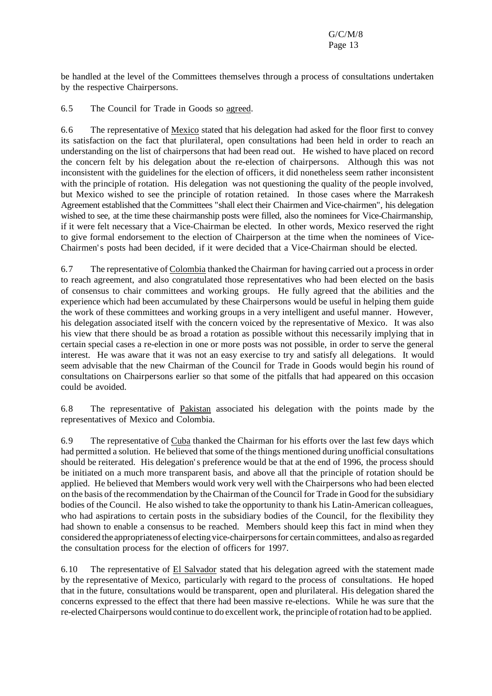be handled at the level of the Committees themselves through a process of consultations undertaken by the respective Chairpersons.

6.5 The Council for Trade in Goods so agreed.

6.6 The representative of Mexico stated that his delegation had asked for the floor first to convey its satisfaction on the fact that plurilateral, open consultations had been held in order to reach an understanding on the list of chairpersons that had been read out. He wished to have placed on record the concern felt by his delegation about the re-election of chairpersons. Although this was not inconsistent with the guidelines for the election of officers, it did nonetheless seem rather inconsistent with the principle of rotation. His delegation was not questioning the quality of the people involved, but Mexico wished to see the principle of rotation retained. In those cases where the Marrakesh Agreement established that the Committees "shall elect their Chairmen and Vice-chairmen", his delegation wished to see, at the time these chairmanship posts were filled, also the nominees for Vice-Chairmanship, if it were felt necessary that a Vice-Chairman be elected. In other words, Mexico reserved the right to give formal endorsement to the election of Chairperson at the time when the nominees of Vice-Chairmen's posts had been decided, if it were decided that a Vice-Chairman should be elected.

6.7 The representative of Colombia thanked the Chairman for having carried out a processin order to reach agreement, and also congratulated those representatives who had been elected on the basis of consensus to chair committees and working groups. He fully agreed that the abilities and the experience which had been accumulated by these Chairpersons would be useful in helping them guide the work of these committees and working groups in a very intelligent and useful manner. However, his delegation associated itself with the concern voiced by the representative of Mexico. It was also his view that there should be as broad a rotation as possible without this necessarily implying that in certain special cases a re-election in one or more posts was not possible, in order to serve the general interest. He was aware that it was not an easy exercise to try and satisfy all delegations. It would seem advisable that the new Chairman of the Council for Trade in Goods would begin his round of consultations on Chairpersons earlier so that some of the pitfalls that had appeared on this occasion could be avoided.

6.8 The representative of Pakistan associated his delegation with the points made by the representatives of Mexico and Colombia.

6.9 The representative of Cuba thanked the Chairman for his efforts over the last few days which had permitted a solution. He believed that some of the things mentioned during unofficial consultations should be reiterated. His delegation's preference would be that at the end of 1996, the process should be initiated on a much more transparent basis, and above all that the principle of rotation should be applied. He believed that Members would work very well with the Chairpersons who had been elected on the basis of the recommendation by the Chairman of the Council for Trade in Good for the subsidiary bodies of the Council. He also wished to take the opportunity to thank his Latin-American colleagues, who had aspirations to certain posts in the subsidiary bodies of the Council, for the flexibility they had shown to enable a consensus to be reached. Members should keep this fact in mind when they considered the appropriateness of electing vice-chairpersonsfor certain committees, and also asregarded the consultation process for the election of officers for 1997.

6.10 The representative of **El Salvador** stated that his delegation agreed with the statement made by the representative of Mexico, particularly with regard to the process of consultations. He hoped that in the future, consultations would be transparent, open and plurilateral. His delegation shared the concerns expressed to the effect that there had been massive re-elections. While he was sure that the re-elected Chairpersons would continue to do excellent work, the principle ofrotation had to be applied.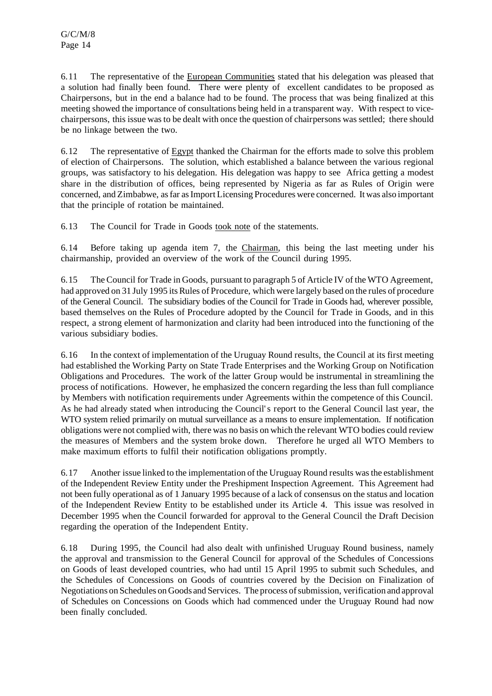6.11 The representative of the European Communities stated that his delegation was pleased that a solution had finally been found. There were plenty of excellent candidates to be proposed as Chairpersons, but in the end a balance had to be found. The process that was being finalized at this meeting showed the importance of consultations being held in a transparent way. With respect to vicechairpersons, thisissue wasto be dealt with once the question of chairpersons was settled; there should be no linkage between the two.

6.12 The representative of Egypt thanked the Chairman for the efforts made to solve this problem of election of Chairpersons. The solution, which established a balance between the various regional groups, was satisfactory to his delegation. His delegation was happy to see Africa getting a modest share in the distribution of offices, being represented by Nigeria as far as Rules of Origin were concerned, andZimbabwe, asfar asImportLicensing Procedures were concerned. It was also important that the principle of rotation be maintained.

6.13 The Council for Trade in Goods took note of the statements.

6.14 Before taking up agenda item 7, the Chairman, this being the last meeting under his chairmanship, provided an overview of the work of the Council during 1995.

6.15 The Council for Trade in Goods, pursuant to paragraph 5 of Article IV of the WTO Agreement, had approved on 31 July 1995 its Rules of Procedure, which were largely based on the rules of procedure of the General Council. The subsidiary bodies of the Council for Trade in Goods had, wherever possible, based themselves on the Rules of Procedure adopted by the Council for Trade in Goods, and in this respect, a strong element of harmonization and clarity had been introduced into the functioning of the various subsidiary bodies.

6.16 In the context of implementation of the Uruguay Round results, the Council at its first meeting had established the Working Party on State Trade Enterprises and the Working Group on Notification Obligations and Procedures. The work of the latter Group would be instrumental in streamlining the process of notifications. However, he emphasized the concern regarding the less than full compliance by Members with notification requirements under Agreements within the competence of this Council. As he had already stated when introducing the Council's report to the General Council last year, the WTO system relied primarily on mutual surveillance as a means to ensure implementation. If notification obligations were not complied with, there was no basis on which the relevant WTO bodies could review the measures of Members and the system broke down. Therefore he urged all WTO Members to make maximum efforts to fulfil their notification obligations promptly.

6.17 Another issue linked to the implementation of the Uruguay Round results wasthe establishment of the Independent Review Entity under the Preshipment Inspection Agreement. This Agreement had not been fully operational as of 1 January 1995 because of a lack of consensus on the status and location of the Independent Review Entity to be established under its Article 4. This issue was resolved in December 1995 when the Council forwarded for approval to the General Council the Draft Decision regarding the operation of the Independent Entity.

6.18 During 1995, the Council had also dealt with unfinished Uruguay Round business, namely the approval and transmission to the General Council for approval of the Schedules of Concessions on Goods of least developed countries, who had until 15 April 1995 to submit such Schedules, and the Schedules of Concessions on Goods of countries covered by the Decision on Finalization of Negotiations on Schedules on Goods and Services. The process of submission, verification and approval of Schedules on Concessions on Goods which had commenced under the Uruguay Round had now been finally concluded.